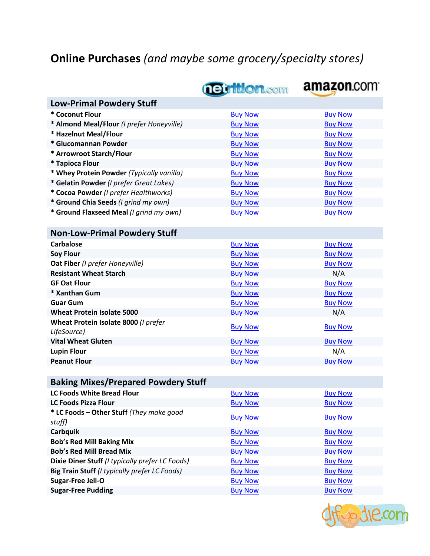## **Online Purchases** *(and maybe some grocery/specialty stores)*

|                                                     | <b>netrition.com</b> | amazon.com     |  |  |  |
|-----------------------------------------------------|----------------------|----------------|--|--|--|
| <b>Low-Primal Powdery Stuff</b>                     |                      |                |  |  |  |
| * Coconut Flour                                     | <b>Buy Now</b>       | <b>Buy Now</b> |  |  |  |
| * Almond Meal/Flour (I prefer Honeyville)           | <b>Buy Now</b>       | <b>Buy Now</b> |  |  |  |
| * Hazelnut Meal/Flour                               | <b>Buy Now</b>       | <b>Buy Now</b> |  |  |  |
| * Glucomannan Powder                                | <b>Buy Now</b>       | <b>Buy Now</b> |  |  |  |
| * Arrowroot Starch/Flour                            | <b>Buy Now</b>       | <b>Buy Now</b> |  |  |  |
| * Tapioca Flour                                     | <b>Buy Now</b>       | <b>Buy Now</b> |  |  |  |
| * Whey Protein Powder (Typically vanilla)           | <b>Buy Now</b>       | <b>Buy Now</b> |  |  |  |
| * Gelatin Powder (I prefer Great Lakes)             | <b>Buy Now</b>       | <b>Buy Now</b> |  |  |  |
| * Cocoa Powder (I prefer Healthworks)               | <b>Buy Now</b>       | <b>Buy Now</b> |  |  |  |
| * Ground Chia Seeds (I grind my own)                | <b>Buy Now</b>       | <b>Buy Now</b> |  |  |  |
| * Ground Flaxseed Meal (I grind my own)             | <b>Buy Now</b>       | <b>Buy Now</b> |  |  |  |
|                                                     |                      |                |  |  |  |
| <b>Non-Low-Primal Powdery Stuff</b>                 |                      |                |  |  |  |
| <b>Carbalose</b>                                    | <b>Buy Now</b>       | <b>Buy Now</b> |  |  |  |
| <b>Soy Flour</b>                                    | <b>Buy Now</b>       | <b>Buy Now</b> |  |  |  |
| Oat Fiber (I prefer Honeyville)                     | <b>Buy Now</b>       | <b>Buy Now</b> |  |  |  |
| <b>Resistant Wheat Starch</b>                       | <b>Buy Now</b>       | N/A            |  |  |  |
| <b>GF Oat Flour</b>                                 | <b>Buy Now</b>       | <b>Buy Now</b> |  |  |  |
| * Xanthan Gum                                       | <b>Buy Now</b>       | <b>Buy Now</b> |  |  |  |
| <b>Guar Gum</b>                                     | <b>Buy Now</b>       | <b>Buy Now</b> |  |  |  |
| <b>Wheat Protein Isolate 5000</b>                   | <b>Buy Now</b>       | N/A            |  |  |  |
| Wheat Protein Isolate 8000 (I prefer<br>LifeSource) | <b>Buy Now</b>       | <b>Buy Now</b> |  |  |  |
| <b>Vital Wheat Gluten</b>                           | <b>Buy Now</b>       | <b>Buy Now</b> |  |  |  |
| <b>Lupin Flour</b>                                  | <b>Buy Now</b>       | N/A            |  |  |  |
| <b>Peanut Flour</b>                                 | <b>Buy Now</b>       | <b>Buy Now</b> |  |  |  |
|                                                     |                      |                |  |  |  |
| <b>Baking Mixes/Prepared Powdery Stuff</b>          |                      |                |  |  |  |
| <b>LC Foods White Bread Flour</b>                   | <b>Buy Now</b>       | <b>Buy Now</b> |  |  |  |
| <b>LC Foods Pizza Flour</b>                         | <b>Buy Now</b>       | <b>Buy Now</b> |  |  |  |
| * LC Foods - Other Stuff (They make good<br>stuff)  | <b>Buy Now</b>       | <b>Buy Now</b> |  |  |  |
| Carbquik                                            | <b>Buy Now</b>       | <b>Buy Now</b> |  |  |  |
| <b>Bob's Red Mill Baking Mix</b>                    | <b>Buy Now</b>       | <b>Buy Now</b> |  |  |  |
| <b>Bob's Red Mill Bread Mix</b>                     | <b>Buy Now</b>       | <b>Buy Now</b> |  |  |  |
| Dixie Diner Stuff (I typically prefer LC Foods)     | <b>Buy Now</b>       | <b>Buy Now</b> |  |  |  |
| Big Train Stuff (I typically prefer LC Foods)       | <b>Buy Now</b>       | <b>Buy Now</b> |  |  |  |
| <b>Sugar-Free Jell-O</b>                            | <b>Buy Now</b>       | <b>Buy Now</b> |  |  |  |
| <b>Sugar-Free Pudding</b>                           | <b>Buy Now</b>       | <b>Buy Now</b> |  |  |  |

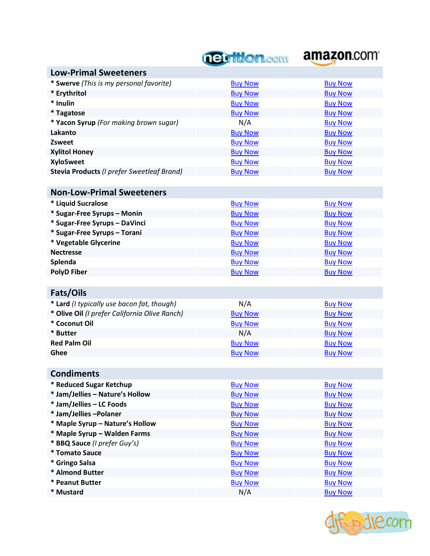# **Tettlon.com amazon.com**

| <b>Low-Primal Sweeteners</b>                  |                |                |
|-----------------------------------------------|----------------|----------------|
| * Swerve (This is my personal favorite)       | <b>Buy Now</b> | <b>Buy Now</b> |
| * Erythritol                                  | <b>Buy Now</b> | <b>Buy Now</b> |
| * Inulin                                      | <b>Buy Now</b> | <b>Buy Now</b> |
| * Tagatose                                    | <b>Buy Now</b> | <b>Buy Now</b> |
| * Yacon Syrup (For making brown sugar)        | N/A            | <b>Buy Now</b> |
| Lakanto                                       | <b>Buy Now</b> | <b>Buy Now</b> |
| Zsweet                                        | <b>Buy Now</b> | <b>Buy Now</b> |
| <b>Xylitol Honey</b>                          | <b>Buy Now</b> | <b>Buy Now</b> |
| <b>XyloSweet</b>                              | <b>Buy Now</b> | <b>Buy Now</b> |
| Stevia Products (I prefer Sweetleaf Brand)    | <b>Buy Now</b> | <b>Buy Now</b> |
|                                               |                |                |
| <b>Non-Low-Primal Sweeteners</b>              |                |                |
| * Liquid Sucralose                            | <b>Buy Now</b> | <b>Buy Now</b> |
| * Sugar-Free Syrups - Monin                   | <b>Buy Now</b> | <b>Buy Now</b> |
| * Sugar-Free Syrups - DaVinci                 | <b>Buy Now</b> | <b>Buy Now</b> |
| * Sugar-Free Syrups - Torani                  | <b>Buy Now</b> | <b>Buy Now</b> |
| * Vegetable Glycerine                         | <b>Buy Now</b> | <b>Buy Now</b> |
| <b>Nectresse</b>                              | <b>Buy Now</b> | <b>Buy Now</b> |
| Splenda                                       | <b>Buy Now</b> | <b>Buy Now</b> |
| <b>PolyD Fiber</b>                            | <b>Buy Now</b> | <b>Buy Now</b> |
|                                               |                |                |
| Fats/Oils                                     |                |                |
| * Lard (I typically use bacon fat, though)    | N/A            | <b>Buy Now</b> |
| * Olive Oil (I prefer California Olive Ranch) | <b>Buy Now</b> | <b>Buy Now</b> |
| * Coconut Oil                                 | <b>Buy Now</b> | <b>Buy Now</b> |
| * Butter                                      | N/A            | <b>Buy Now</b> |
| <b>Red Palm Oil</b>                           | <b>Buy Now</b> | <b>Buy Now</b> |
| Ghee                                          | <b>Buy Now</b> | <b>Buy Now</b> |
|                                               |                |                |
| <b>Condiments</b>                             |                |                |
| <b>Reduced Sugar Ketchup</b>                  | <b>Buy Now</b> | <b>Buy Now</b> |
| * Jam/Jellies - Nature's Hollow               | <b>Buy Now</b> | <b>Buy Now</b> |
| * Jam/Jellies - LC Foods                      | <b>Buy Now</b> | <b>Buy Now</b> |
| * Jam/Jellies - Polaner                       | <b>Buy Now</b> | <b>Buy Now</b> |
| * Maple Syrup - Nature's Hollow               | <b>Buy Now</b> | <b>Buy Now</b> |
| * Maple Syrup - Walden Farms                  | <b>Buy Now</b> | <b>Buy Now</b> |
| * BBQ Sauce (I prefer Guy's)                  | <b>Buy Now</b> | <b>Buy Now</b> |
| * Tomato Sauce                                | <b>Buy Now</b> | <b>Buy Now</b> |
| * Gringo Salsa                                |                |                |
|                                               | <b>Buy Now</b> | <b>Buy Now</b> |
| * Almond Butter                               | <b>Buy Now</b> | <b>Buy Now</b> |
| * Peanut Butter<br>* Mustard                  | <b>Buy Now</b> | <b>Buy Now</b> |

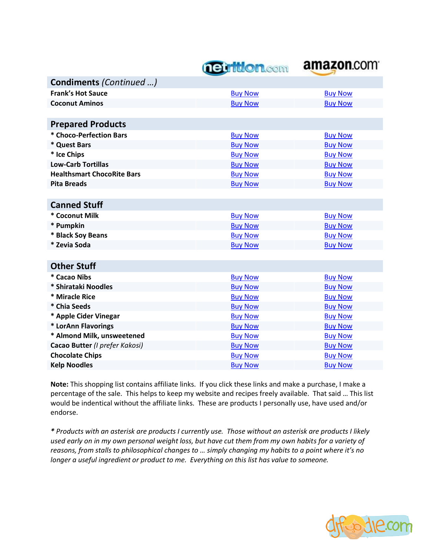## *<u>neuttion.com</u>*



| Condiments (Continued )           |                |                |
|-----------------------------------|----------------|----------------|
| <b>Frank's Hot Sauce</b>          | <b>Buy Now</b> | <b>Buy Now</b> |
| <b>Coconut Aminos</b>             | <b>Buy Now</b> | <b>Buy Now</b> |
|                                   |                |                |
| <b>Prepared Products</b>          |                |                |
| * Choco-Perfection Bars           | <b>Buy Now</b> | <b>Buy Now</b> |
| * Quest Bars                      | <b>Buy Now</b> | <b>Buy Now</b> |
| * Ice Chips                       | <b>Buy Now</b> | <b>Buy Now</b> |
| <b>Low-Carb Tortillas</b>         | <b>Buy Now</b> | <b>Buy Now</b> |
| <b>Healthsmart ChocoRite Bars</b> | <b>Buy Now</b> | <b>Buy Now</b> |
| <b>Pita Breads</b>                | <b>Buy Now</b> | <b>Buy Now</b> |
|                                   |                |                |
| <b>Canned Stuff</b>               |                |                |
| * Coconut Milk                    | <b>Buy Now</b> | <b>Buy Now</b> |
| * Pumpkin                         | <b>Buy Now</b> | <b>Buy Now</b> |
| * Black Soy Beans                 | <b>Buy Now</b> | <b>Buy Now</b> |
| * Zevia Soda                      | <b>Buy Now</b> | <b>Buy Now</b> |
|                                   |                |                |
| <b>Other Stuff</b>                |                |                |
| * Cacao Nibs                      | <b>Buy Now</b> | <b>Buy Now</b> |
| * Shirataki Noodles               | <b>Buy Now</b> | <b>Buy Now</b> |
| * Miracle Rice                    | <b>Buy Now</b> | <b>Buy Now</b> |
| * Chia Seeds                      | <b>Buy Now</b> | <b>Buy Now</b> |
| * Apple Cider Vinegar             | <b>Buy Now</b> | <b>Buy Now</b> |
| * LorAnn Flavorings               | <b>Buy Now</b> | <b>Buy Now</b> |
| * Almond Milk, unsweetened        | <b>Buy Now</b> | <b>Buy Now</b> |
| Cacao Butter (I prefer Kakosi)    | <b>Buy Now</b> | <b>Buy Now</b> |
| <b>Chocolate Chips</b>            | <b>Buy Now</b> | <b>Buy Now</b> |
| <b>Kelp Noodles</b>               | <b>Buy Now</b> | <b>Buy Now</b> |

**Note:** This shopping list contains affiliate links. If you click these links and make a purchase, I make a percentage of the sale. This helps to keep my website and recipes freely available. That said … This list would be indentical without the affiliate links. These are products I personally use, have used and/or endorse.

*\* Products with an asterisk are products I currently use. Those without an asterisk are products I likely used early on in my own personal weight loss, but have cut them from my own habits for a variety of reasons, from stalls to philosophical changes to … simply changing my habits to a point where it's no longer a useful ingredient or product to me. Everything on this list has value to someone.*

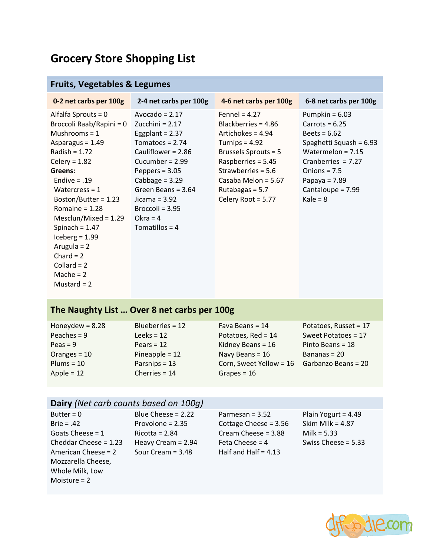## **Grocery Store Shopping List**

## **Fruits, Vegetables & Legumes**

| 0-2 net carbs per 100g                                                                                                                                                                                                                                                                                                                                                         | 2-4 net carbs per 100g                                                                                                                                                                                                                                                 | 4-6 net carbs per 100g                                                                                                                                                                                                      | 6-8 net carbs per 100g                                                                                                                                                                                   |
|--------------------------------------------------------------------------------------------------------------------------------------------------------------------------------------------------------------------------------------------------------------------------------------------------------------------------------------------------------------------------------|------------------------------------------------------------------------------------------------------------------------------------------------------------------------------------------------------------------------------------------------------------------------|-----------------------------------------------------------------------------------------------------------------------------------------------------------------------------------------------------------------------------|----------------------------------------------------------------------------------------------------------------------------------------------------------------------------------------------------------|
| Alfalfa Sprouts = 0<br>Broccoli Raab/Rapini = 0<br>Mushrooms = $1$<br>Asparagus = 1.49<br>Radish = $1.72$<br>Celery = $1.82$<br>Greens:<br>Endive $= .19$<br>Watercress = $1$<br>Boston/Butter = $1.23$<br>Romaine = $1.28$<br>Mesclun/Mixed = $1.29$<br>Spinach = $1.47$<br>Iceberg = $1.99$<br>Arugula = $2$<br>$Chard = 2$<br>Collard = $2$<br>Mache = $2$<br>Mustard $= 2$ | Avocado = $2.17$<br>Zucchini = $2.17$<br>Eggplant = $2.37$<br>Tomatoes = $2.74$<br>Cauliflower = $2.86$<br>Cucumber = $2.99$<br>Peppers = $3.05$<br>Cabbage = $3.29$<br>Green Beans = $3.64$<br>Jicama = $3.92$<br>Broccoli = $3.95$<br>Okra = $4$<br>Tomatillos = $4$ | Fennel = $4.27$<br>Blackberries = $4.86$<br>Artichokes = 4.94<br>Turnips = $4.92$<br>Brussels Sprouts = 5<br>Raspberries = $5.45$<br>Strawberries = $5.6$<br>Casaba Melon = 5.67<br>Rutabagas = $5.7$<br>Celery Root = 5.77 | Pumpkin = $6.03$<br>Carrots = $6.25$<br>Beets = $6.62$<br>Spaghetti Squash = 6.93<br>Watermelon = $7.15$<br>Cranberries $= 7.27$<br>Onions = $7.5$<br>Papaya = $7.89$<br>Cantaloupe = 7.99<br>Kale = $8$ |

## **The Naughty List … Over 8 net carbs per 100g**

| Honeydew = $8.28$ | Blueberries = 12 | Fava Beans = $14$       | Potatoes, Russet = 17 |
|-------------------|------------------|-------------------------|-----------------------|
| Peaches = $9$     | Leeks = $12$     | Potatoes, Red = 14      | Sweet Potatoes = 17   |
| Peas = $9$        | Pears = $12$     | Kidney Beans = $16$     | Pinto Beans = $18$    |
| Oranges $= 10$    | Pineapple = $12$ | Navy Beans = 16         | Bananas = $20$        |
| $Plums = 10$      | Parsnips $= 13$  | Corn, Sweet Yellow = 16 | Garbanzo Beans = 20   |
| Apple = $12$      | Cherries = $14$  | Grapes = $16$           |                       |

## **Dairy** *(Net carb counts based on 100g)*

Moisture = 2

| Butter = $0$          | Blue Cheese = 2.22   | Parmesan = $3.52$       | Plain Yogurt = $4.49$ |
|-----------------------|----------------------|-------------------------|-----------------------|
| $Brie = .42$          | Provolone = $2.35$   | Cottage Cheese = $3.56$ | Skim Milk = $4.87$    |
| Goats Cheese = $1$    | $Ricotta = 2.84$     | Cream Cheese = 3.88     | Milk = $5.33$         |
| Cheddar Cheese = 1.23 | Heavy Cream $= 2.94$ | Feta Cheese = $4$       | Swiss Cheese = $5.33$ |
| American Cheese = 2   | Sour Cream = $3.48$  | Half and Half = $4.13$  |                       |
| Mozzarella Cheese,    |                      |                         |                       |
| Whole Milk, Low       |                      |                         |                       |

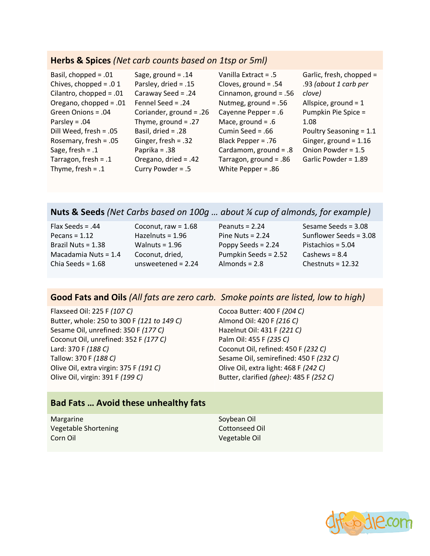#### **Herbs & Spices** *(Net carb counts based on 1tsp or 5ml)*

| Basil, chopped = $.01$    | Sage, ground = $.14$    | Vanilla Extract = .5    | Garlic, fresh, chopped = |
|---------------------------|-------------------------|-------------------------|--------------------------|
| Chives, chopped = $.01$   | Parsley, dried = .15    | Cloves, ground = $.54$  | .93 (about 1 carb per    |
| Cilantro, chopped = $.01$ | Caraway Seed = .24      | Cinnamon, ground = .56  | clove)                   |
| Oregano, chopped = $.01$  | Fennel Seed = $.24$     | Nutmeg, ground = $.56$  | Allspice, ground = $1$   |
| Green Onions = .04        | Coriander, ground = .26 | Cayenne Pepper = $.6$   | Pumpkin Pie Spice =      |
| Parsley = $.04$           | Thyme, ground = $.27$   | Mace, ground = $.6$     | 1.08                     |
| Dill Weed, fresh = .05    | Basil, dried = .28      | Cumin Seed = $.66$      | Poultry Seasoning = 1.1  |
| Rosemary, fresh = $.05$   | Ginger, fresh = .32     | Black Pepper = .76      | Ginger, ground = $1.16$  |
| Sage, fresh = $.1$        | Paprika = $.38$         | Cardamom, ground = $.8$ | Onion Powder = 1.5       |
| Tarragon, fresh = $.1$    | Oregano, dried = $.42$  | Tarragon, ground = .86  | Garlic Powder = 1.89     |
| Thyme, fresh = $.1$       | Curry Powder = .5       | White Pepper = $.86$    |                          |

### **Nuts & Seeds** *(Net Carbs based on 100g … about ¼ cup of almonds, for example)*

| Flax Seeds = $.44$     | Coconut, raw = $1.68$ | Peanuts = $2.24$     | Sesame Seeds = 3.08    |
|------------------------|-----------------------|----------------------|------------------------|
| Pecans = $1.12$        | Hazelnuts = $1.96$    | Pine Nuts = $2.24$   | Sunflower Seeds = 3.08 |
| Brazil Nuts = $1.38$   | Walnuts = $1.96$      | Poppy Seeds = $2.24$ | Pistachios = $5.04$    |
| Macadamia Nuts = $1.4$ | Coconut, dried,       | Pumpkin Seeds = 2.52 | Cashews = $8.4$        |
| Chia Seeds = $1.68$    | unsweetened = $2.24$  | Almonds = $2.8$      | Chestnuts = $12.32$    |
|                        |                       |                      |                        |

#### **Good Fats and Oils** *(All fats are zero carb. Smoke points are listed, low to high)*

Flaxseed Oil: 225 F *(107 C)* Butter, whole: 250 to 300 F *(121 to 149 C)* Sesame Oil, unrefined: 350 F *(177 C)* Coconut Oil, unrefined: 352 F *(177 C)* Lard: 370 F *(188 C)* Tallow: 370 F *(188 C)* Olive Oil, extra virgin: 375 F *(191 C)* Olive Oil, virgin: 391 F *(199 C)*

Cocoa Butter: 400 F *(204 C)* Almond Oil: 420 F *(216 C)* Hazelnut Oil: 431 F *(221 C)* Palm Oil: 455 F *(235 C)* Coconut Oil, refined: 450 F *(232 C)* Sesame Oil, semirefined: 450 F *(232 C)* Olive Oil, extra light: 468 F *(242 C)* Butter, clarified *(ghee)*: 485 F *(252 C)*

## **Bad Fats … Avoid these unhealthy fats**

Margarine Vegetable Shortening Corn Oil

Soybean Oil Cottonseed Oil Vegetable Oil